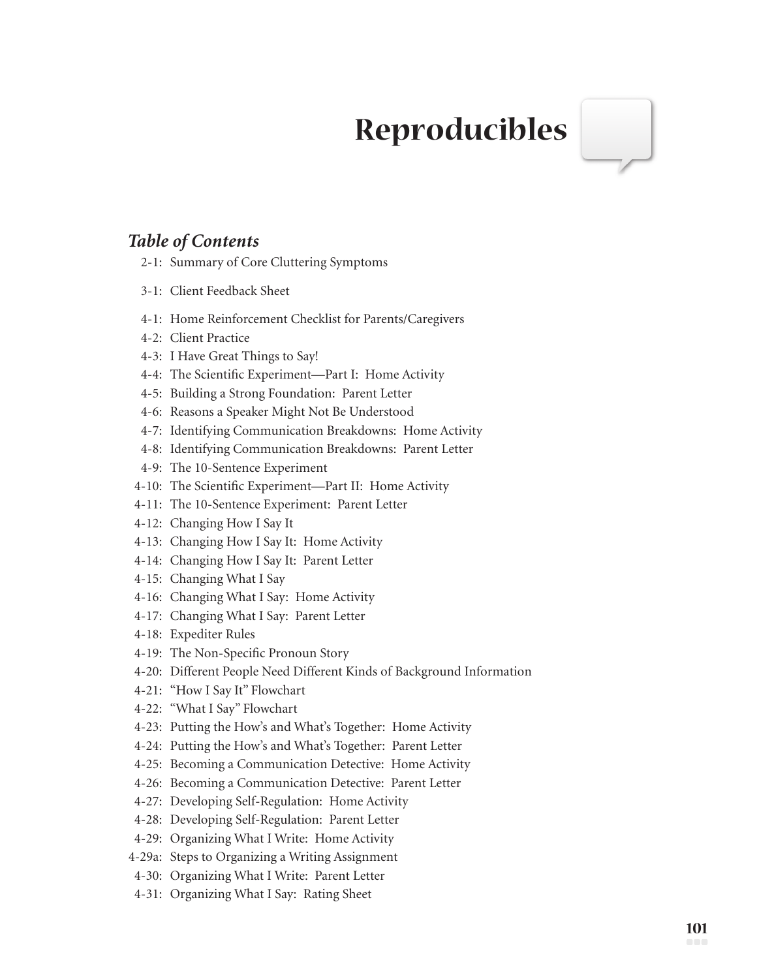## **Reproducibles**

## *Table of Contents*

- 2-1: Summary of Core Cluttering Symptoms
- 3-1: Client Feedback Sheet
- 4-1: Home Reinforcement Checklist for Parents/Caregivers
- 4-2: Client Practice
- 4-3: I Have Great Things to Say!
- 4-4: The Scientific Experiment—Part I: Home Activity
- 4-5: Building a Strong Foundation: Parent Letter
- 4-6: Reasons a Speaker Might Not Be Understood
- 4-7: Identifying Communication Breakdowns: Home Activity
- 4-8: Identifying Communication Breakdowns: Parent Letter
- 4-9: The 10-Sentence Experiment
- 4-10: The Scientific Experiment—Part II: Home Activity
- 4-11: The 10-Sentence Experiment: Parent Letter
- 4-12: Changing How I Say It
- 4-13: Changing How I Say It: Home Activity
- 4-14: Changing How I Say It: Parent Letter
- 4-15: Changing What I Say
- 4-16: Changing What I Say: Home Activity
- 4-17: Changing What I Say: Parent Letter
- 4-18: Expediter Rules
- 4-19: The Non-Specific Pronoun Story
- 4-20: Different People Need Different Kinds of Background Information
- 4-21: "How I Say It" Flowchart
- 4-22: "What I Say" Flowchart
- 4-23: Putting the How's and What's Together: Home Activity
- 4-24: Putting the How's and What's Together: Parent Letter
- 4-25: Becoming a Communication Detective: Home Activity
- 4-26: Becoming a Communication Detective: Parent Letter
- 4-27: Developing Self-Regulation: Home Activity
- 4-28: Developing Self-Regulation: Parent Letter
- 4-29: Organizing What I Write: Home Activity
- 4-29a: Steps to Organizing a Writing Assignment
- 4-30: Organizing What I Write: Parent Letter
- 4-31: Organizing What I Say: Rating Sheet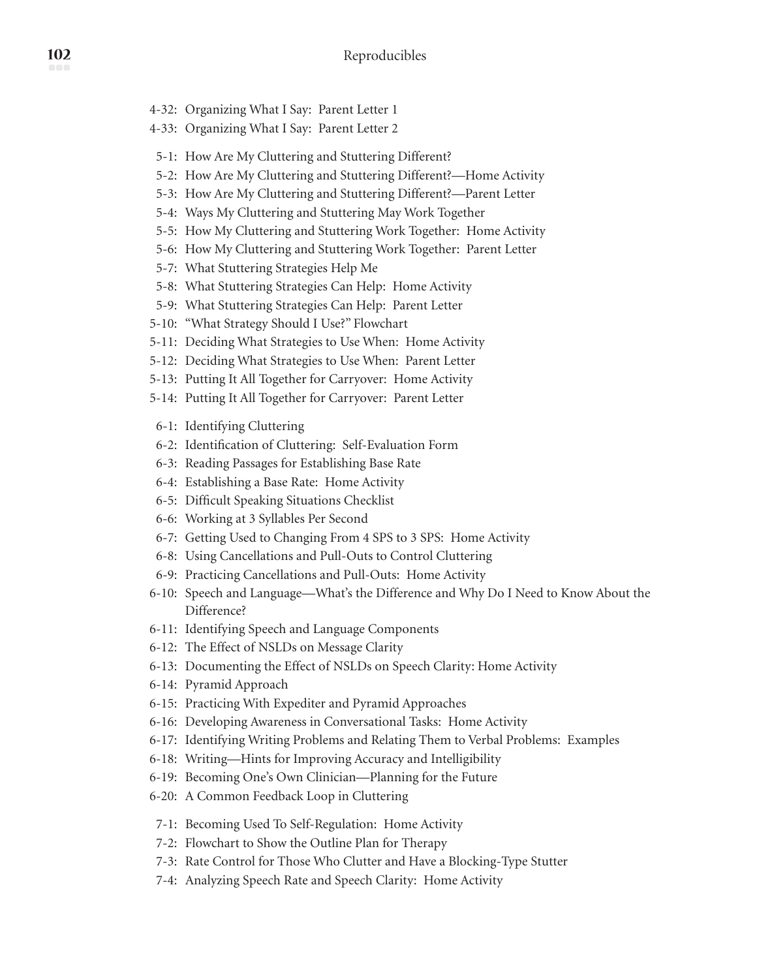- 4-32: Organizing What I Say: Parent Letter 1
- 4-33: Organizing What I Say: Parent Letter 2
- 5-1: How Are My Cluttering and Stuttering Different?
- 5-2: How Are My Cluttering and Stuttering Different?—Home Activity
- 5-3: How Are My Cluttering and Stuttering Different?—Parent Letter
- 5-4: Ways My Cluttering and Stuttering May Work Together
- 5-5: How My Cluttering and Stuttering Work Together: Home Activity
- 5-6: How My Cluttering and Stuttering Work Together: Parent Letter
- 5-7: What Stuttering Strategies Help Me
- 5-8: What Stuttering Strategies Can Help: Home Activity
- 5-9: What Stuttering Strategies Can Help: Parent Letter
- 5-10: "What Strategy Should I Use?" Flowchart
- 5-11: Deciding What Strategies to Use When: Home Activity
- 5-12: Deciding What Strategies to Use When: Parent Letter
- 5-13: Putting It All Together for Carryover: Home Activity
- 5-14: Putting It All Together for Carryover: Parent Letter
- 6-1: Identifying Cluttering
- 6-2: Identification of Cluttering: Self-Evaluation Form
- 6-3: Reading Passages for Establishing Base Rate
- 6-4: Establishing a Base Rate: Home Activity
- 6-5: Difficult Speaking Situations Checklist
- 6-6: Working at 3 Syllables Per Second
- 6-7: Getting Used to Changing From 4 SPS to 3 SPS: Home Activity
- 6-8: Using Cancellations and Pull-Outs to Control Cluttering
- 6-9: Practicing Cancellations and Pull-Outs: Home Activity
- 6-10: Speech and Language—What's the Difference and Why Do I Need to Know About the Difference?
- 6-11: Identifying Speech and Language Components
- 6-12: The Effect of NSLDs on Message Clarity
- 6-13: Documenting the Effect of NSLDs on Speech Clarity: Home Activity
- 6-14: Pyramid Approach
- 6-15: Practicing With Expediter and Pyramid Approaches
- 6-16: Developing Awareness in Conversational Tasks: Home Activity
- 6-17: Identifying Writing Problems and Relating Them to Verbal Problems: Examples
- 6-18: Writing—Hints for Improving Accuracy and Intelligibility
- 6-19: Becoming One's Own Clinician—Planning for the Future
- 6-20: A Common Feedback Loop in Cluttering
- 7-1: Becoming Used To Self-Regulation: Home Activity
- 7-2: Flowchart to Show the Outline Plan for Therapy
- 7-3: Rate Control for Those Who Clutter and Have a Blocking-Type Stutter
- 7-4: Analyzing Speech Rate and Speech Clarity: Home Activity